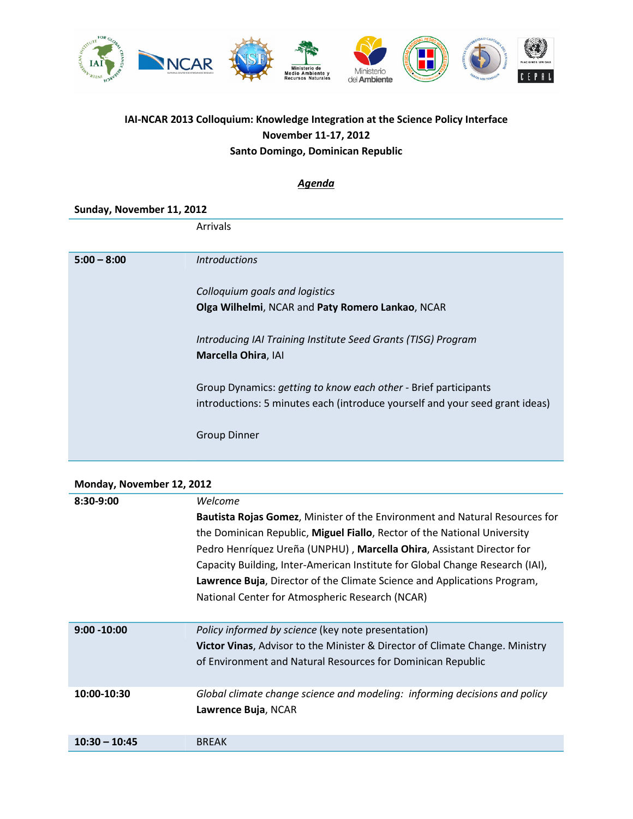

## **IAI-NCAR 2013 Colloquium: Knowledge Integration at the Science Policy Interface November 11-17, 2012 Santo Domingo, Dominican Republic**

## *Agenda*

| Sunday, November 11, 2012 |                                                                              |
|---------------------------|------------------------------------------------------------------------------|
|                           | Arrivals                                                                     |
| $5:00 - 8:00$             | <i><u><b>Introductions</b></u></i>                                           |
|                           | Colloquium goals and logistics                                               |
|                           | Olga Wilhelmi, NCAR and Paty Romero Lankao, NCAR                             |
|                           | Introducing IAI Training Institute Seed Grants (TISG) Program                |
|                           | Marcella Ohira, IAI                                                          |
|                           | Group Dynamics: getting to know each other - Brief participants              |
|                           | introductions: 5 minutes each (introduce yourself and your seed grant ideas) |
|                           | <b>Group Dinner</b>                                                          |
|                           |                                                                              |

## **Monday, November 12, 2012**

| $8:30-9:00$     | Welcome                                                                                 |
|-----------------|-----------------------------------------------------------------------------------------|
|                 | <b>Bautista Rojas Gomez, Minister of the Environment and Natural Resources for</b>      |
|                 | the Dominican Republic, Miguel Fiallo, Rector of the National University                |
|                 | Pedro Henríquez Ureña (UNPHU), Marcella Ohira, Assistant Director for                   |
|                 | Capacity Building, Inter-American Institute for Global Change Research (IAI),           |
|                 | Lawrence Buja, Director of the Climate Science and Applications Program,                |
|                 | National Center for Atmospheric Research (NCAR)                                         |
|                 |                                                                                         |
| $9:00 - 10:00$  | Policy informed by science (key note presentation)                                      |
|                 | <b>Victor Vinas, Advisor to the Minister &amp; Director of Climate Change. Ministry</b> |
|                 | of Environment and Natural Resources for Dominican Republic                             |
|                 |                                                                                         |
| 10:00-10:30     | Global climate change science and modeling: informing decisions and policy              |
|                 | Lawrence Buja, NCAR                                                                     |
|                 |                                                                                         |
| $10:30 - 10:45$ | <b>BREAK</b>                                                                            |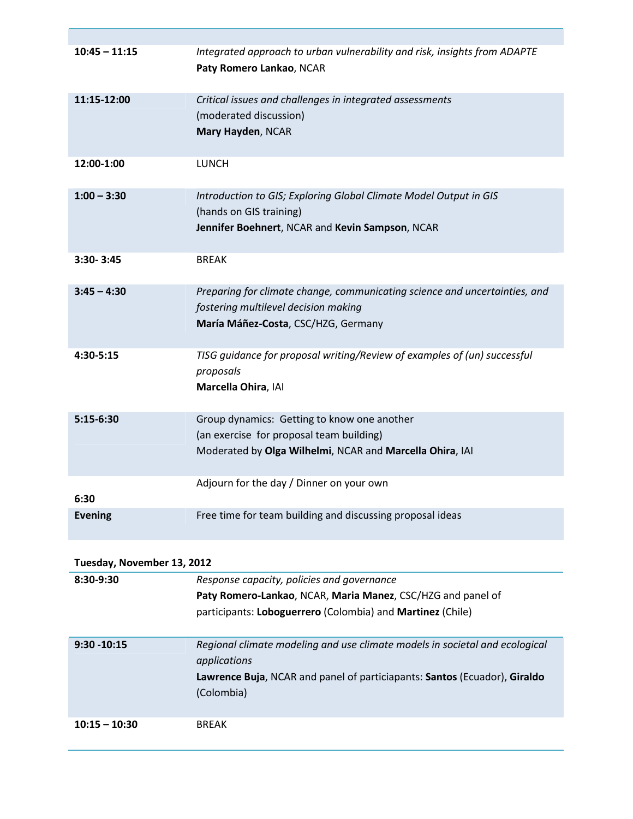| $10:45 - 11:15$            | Integrated approach to urban vulnerability and risk, insights from ADAPTE<br>Paty Romero Lankao, NCAR                                                                                  |
|----------------------------|----------------------------------------------------------------------------------------------------------------------------------------------------------------------------------------|
| 11:15-12:00                | Critical issues and challenges in integrated assessments<br>(moderated discussion)<br>Mary Hayden, NCAR                                                                                |
| 12:00-1:00                 | <b>LUNCH</b>                                                                                                                                                                           |
| $1:00 - 3:30$              | Introduction to GIS; Exploring Global Climate Model Output in GIS<br>(hands on GIS training)<br>Jennifer Boehnert, NCAR and Kevin Sampson, NCAR                                        |
| 3:30-3:45                  | <b>BREAK</b>                                                                                                                                                                           |
| $3:45 - 4:30$              | Preparing for climate change, communicating science and uncertainties, and<br>fostering multilevel decision making<br>María Máñez-Costa, CSC/HZG, Germany                              |
| 4:30-5:15                  | TISG guidance for proposal writing/Review of examples of (un) successful<br>proposals<br>Marcella Ohira, IAI                                                                           |
| $5:15-6:30$                | Group dynamics: Getting to know one another<br>(an exercise for proposal team building)<br>Moderated by Olga Wilhelmi, NCAR and Marcella Ohira, IAI                                    |
| 6:30                       | Adjourn for the day / Dinner on your own                                                                                                                                               |
| <b>Evening</b>             | Free time for team building and discussing proposal ideas                                                                                                                              |
| Tuesday, November 13, 2012 |                                                                                                                                                                                        |
| 8:30-9:30                  | Response capacity, policies and governance<br>Paty Romero-Lankao, NCAR, Maria Manez, CSC/HZG and panel of<br>participants: Loboguerrero (Colombia) and Martinez (Chile)                |
| $9:30 - 10:15$             | Regional climate modeling and use climate models in societal and ecological<br>applications<br>Lawrence Buja, NCAR and panel of particiapants: Santos (Ecuador), Giraldo<br>(Colombia) |
| $10:15 - 10:30$            | <b>BREAK</b>                                                                                                                                                                           |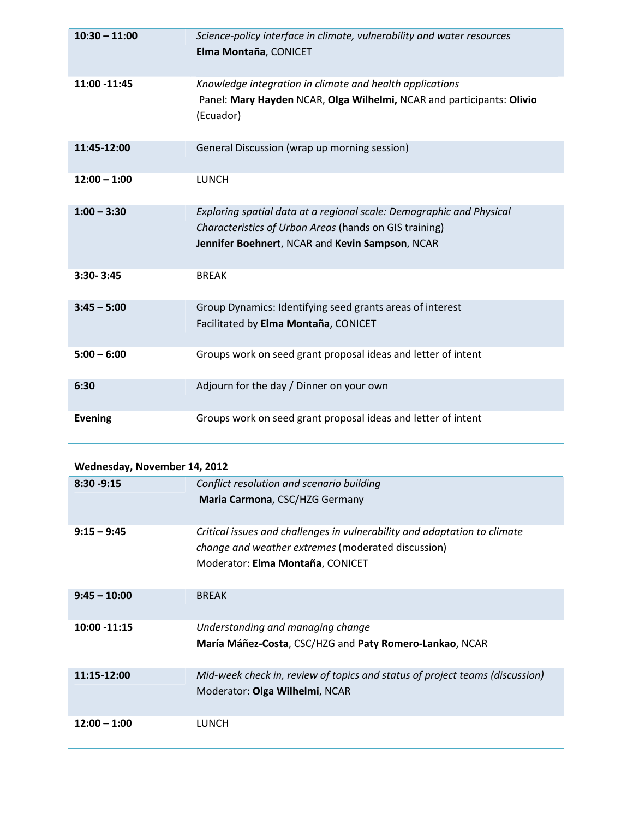| $10:30 - 11:00$ | Science-policy interface in climate, vulnerability and water resources<br>Elma Montaña, CONICET                                                                                   |
|-----------------|-----------------------------------------------------------------------------------------------------------------------------------------------------------------------------------|
| 11:00 -11:45    | Knowledge integration in climate and health applications<br>Panel: Mary Hayden NCAR, Olga Wilhelmi, NCAR and participants: Olivio<br>(Ecuador)                                    |
| 11:45-12:00     | General Discussion (wrap up morning session)                                                                                                                                      |
| $12:00 - 1:00$  | <b>LUNCH</b>                                                                                                                                                                      |
| $1:00 - 3:30$   | Exploring spatial data at a regional scale: Demographic and Physical<br>Characteristics of Urban Areas (hands on GIS training)<br>Jennifer Boehnert, NCAR and Kevin Sampson, NCAR |
| $3:30 - 3:45$   | <b>BREAK</b>                                                                                                                                                                      |
| $3:45 - 5:00$   | Group Dynamics: Identifying seed grants areas of interest<br>Facilitated by Elma Montaña, CONICET                                                                                 |
| $5:00 - 6:00$   | Groups work on seed grant proposal ideas and letter of intent                                                                                                                     |
| 6:30            | Adjourn for the day / Dinner on your own                                                                                                                                          |
| <b>Evening</b>  | Groups work on seed grant proposal ideas and letter of intent                                                                                                                     |

| Wednesday, November 14, 2012 |                                                                                                                                                                     |
|------------------------------|---------------------------------------------------------------------------------------------------------------------------------------------------------------------|
| $8:30 - 9:15$                | Conflict resolution and scenario building                                                                                                                           |
|                              | Maria Carmona, CSC/HZG Germany                                                                                                                                      |
| $9:15 - 9:45$                | Critical issues and challenges in vulnerability and adaptation to climate<br>change and weather extremes (moderated discussion)<br>Moderator: Elma Montaña, CONICET |
| $9:45 - 10:00$               | <b>BREAK</b>                                                                                                                                                        |
| 10:00 -11:15                 | Understanding and managing change<br>María Máñez-Costa, CSC/HZG and Paty Romero-Lankao, NCAR                                                                        |
| 11:15-12:00                  | Mid-week check in, review of topics and status of project teams (discussion)<br>Moderator: Olga Wilhelmi, NCAR                                                      |
| $12:00 - 1:00$               | <b>LUNCH</b>                                                                                                                                                        |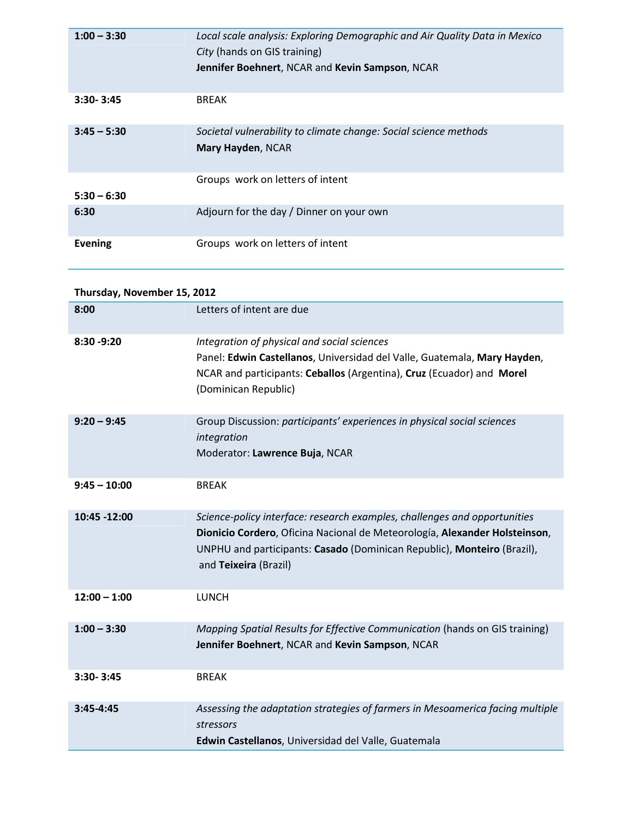| $1:00 - 3:30$  | Local scale analysis: Exploring Demographic and Air Quality Data in Mexico<br>City (hands on GIS training)<br>Jennifer Boehnert, NCAR and Kevin Sampson, NCAR |
|----------------|---------------------------------------------------------------------------------------------------------------------------------------------------------------|
| $3:30 - 3:45$  | <b>BREAK</b>                                                                                                                                                  |
| $3:45 - 5:30$  | Societal vulnerability to climate change: Social science methods<br>Mary Hayden, NCAR                                                                         |
| $5:30 - 6:30$  | Groups work on letters of intent                                                                                                                              |
| 6:30           | Adjourn for the day / Dinner on your own                                                                                                                      |
| <b>Evening</b> | Groups work on letters of intent                                                                                                                              |

| Thursday, November 15, 2012 |                                                                                                                                                                                                                                                             |
|-----------------------------|-------------------------------------------------------------------------------------------------------------------------------------------------------------------------------------------------------------------------------------------------------------|
| 8:00                        | Letters of intent are due                                                                                                                                                                                                                                   |
| 8:30 - 9:20                 | Integration of physical and social sciences<br>Panel: Edwin Castellanos, Universidad del Valle, Guatemala, Mary Hayden,<br>NCAR and participants: Ceballos (Argentina), Cruz (Ecuador) and Morel<br>(Dominican Republic)                                    |
| $9:20 - 9:45$               | Group Discussion: participants' experiences in physical social sciences<br>integration<br>Moderator: Lawrence Buja, NCAR                                                                                                                                    |
| $9:45 - 10:00$              | <b>BREAK</b>                                                                                                                                                                                                                                                |
| 10:45 -12:00                | Science-policy interface: research examples, challenges and opportunities<br>Dionicio Cordero, Oficina Nacional de Meteorología, Alexander Holsteinson,<br>UNPHU and participants: Casado (Dominican Republic), Monteiro (Brazil),<br>and Teixeira (Brazil) |
| $12:00 - 1:00$              | <b>LUNCH</b>                                                                                                                                                                                                                                                |
| $1:00 - 3:30$               | Mapping Spatial Results for Effective Communication (hands on GIS training)<br>Jennifer Boehnert, NCAR and Kevin Sampson, NCAR                                                                                                                              |
| 3:30-3:45                   | <b>BREAK</b>                                                                                                                                                                                                                                                |
| 3:45-4:45                   | Assessing the adaptation strategies of farmers in Mesoamerica facing multiple<br>stressors<br>Edwin Castellanos, Universidad del Valle, Guatemala                                                                                                           |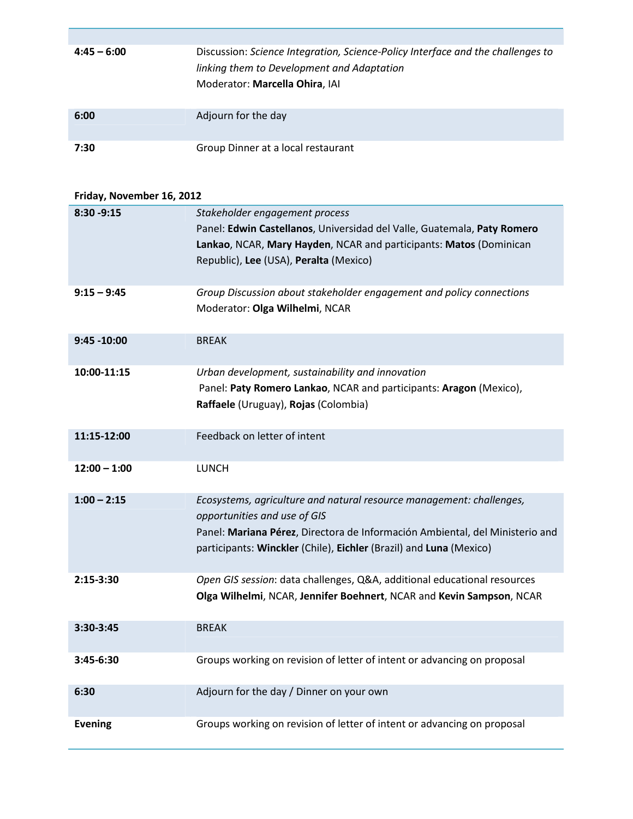| $4:45 - 6:00$ | Discussion: Science Integration, Science-Policy Interface and the challenges to<br>linking them to Development and Adaptation<br>Moderator: Marcella Ohira, IAI |
|---------------|-----------------------------------------------------------------------------------------------------------------------------------------------------------------|
| 6:00          | Adjourn for the day                                                                                                                                             |
| 7:30          | Group Dinner at a local restaurant                                                                                                                              |

## **Friday, November 16, 2012**

| 8:30 - 9:15    | Stakeholder engagement process                                               |
|----------------|------------------------------------------------------------------------------|
|                | Panel: Edwin Castellanos, Universidad del Valle, Guatemala, Paty Romero      |
|                | Lankao, NCAR, Mary Hayden, NCAR and participants: Matos (Dominican           |
|                | Republic), Lee (USA), Peralta (Mexico)                                       |
|                |                                                                              |
| $9:15 - 9:45$  | Group Discussion about stakeholder engagement and policy connections         |
|                | Moderator: Olga Wilhelmi, NCAR                                               |
|                |                                                                              |
| $9:45 - 10:00$ | <b>BREAK</b>                                                                 |
|                |                                                                              |
| 10:00-11:15    | Urban development, sustainability and innovation                             |
|                | Panel: Paty Romero Lankao, NCAR and participants: Aragon (Mexico),           |
|                | Raffaele (Uruguay), Rojas (Colombia)                                         |
|                |                                                                              |
| 11:15-12:00    | Feedback on letter of intent                                                 |
|                |                                                                              |
| $12:00 - 1:00$ | <b>LUNCH</b>                                                                 |
|                |                                                                              |
| $1:00 - 2:15$  | Ecosystems, agriculture and natural resource management: challenges,         |
|                | opportunities and use of GIS                                                 |
|                | Panel: Mariana Pérez, Directora de Información Ambiental, del Ministerio and |
|                | participants: Winckler (Chile), Eichler (Brazil) and Luna (Mexico)           |
|                |                                                                              |
| $2:15-3:30$    | Open GIS session: data challenges, Q&A, additional educational resources     |
|                | Olga Wilhelmi, NCAR, Jennifer Boehnert, NCAR and Kevin Sampson, NCAR         |
|                |                                                                              |
| 3:30-3:45      | <b>BREAK</b>                                                                 |
|                |                                                                              |
| 3:45-6:30      | Groups working on revision of letter of intent or advancing on proposal      |
|                |                                                                              |
| 6:30           | Adjourn for the day / Dinner on your own                                     |
|                |                                                                              |
| <b>Evening</b> | Groups working on revision of letter of intent or advancing on proposal      |
|                |                                                                              |